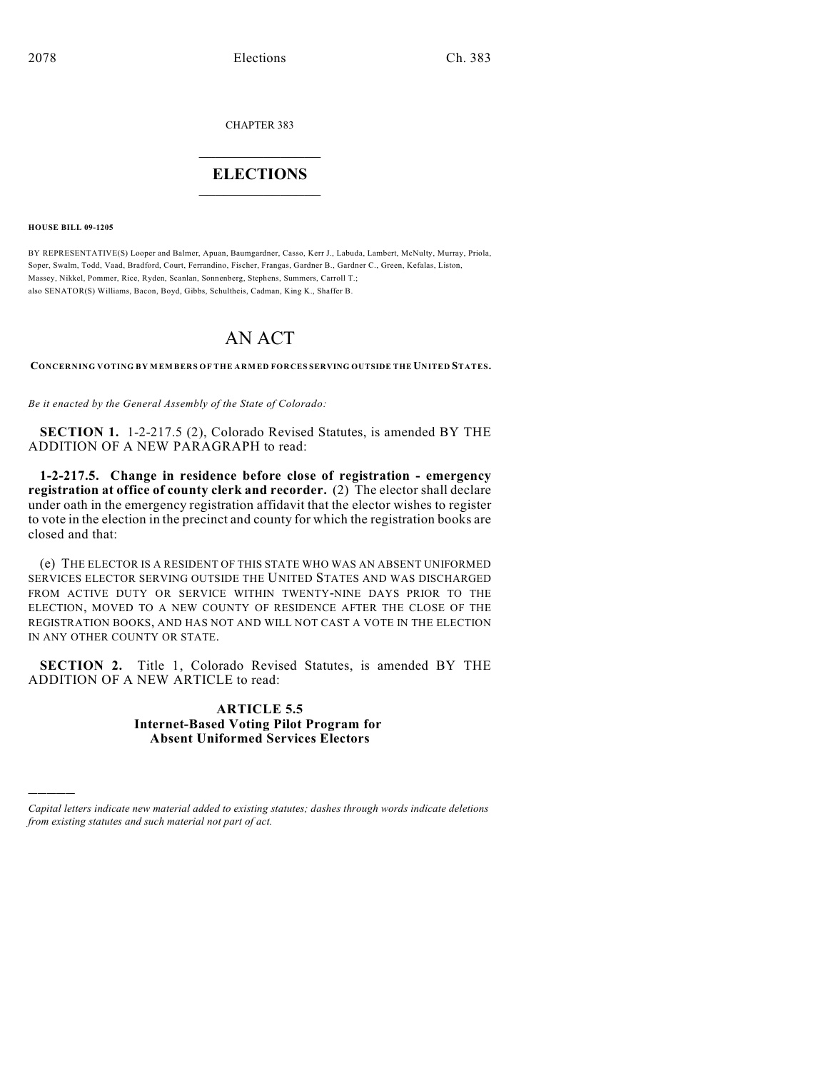CHAPTER 383

## $\overline{\phantom{a}}$  . The set of the set of the set of the set of the set of the set of the set of the set of the set of the set of the set of the set of the set of the set of the set of the set of the set of the set of the set o **ELECTIONS**  $\_$

**HOUSE BILL 09-1205**

)))))

BY REPRESENTATIVE(S) Looper and Balmer, Apuan, Baumgardner, Casso, Kerr J., Labuda, Lambert, McNulty, Murray, Priola, Soper, Swalm, Todd, Vaad, Bradford, Court, Ferrandino, Fischer, Frangas, Gardner B., Gardner C., Green, Kefalas, Liston, Massey, Nikkel, Pommer, Rice, Ryden, Scanlan, Sonnenberg, Stephens, Summers, Carroll T.; also SENATOR(S) Williams, Bacon, Boyd, Gibbs, Schultheis, Cadman, King K., Shaffer B.

# AN ACT

**CONCERNING VOTING BY MEM BERS OF THE ARMED FORCES SERVING OUTSIDE THE UNITED STATES.**

*Be it enacted by the General Assembly of the State of Colorado:*

**SECTION 1.** 1-2-217.5 (2), Colorado Revised Statutes, is amended BY THE ADDITION OF A NEW PARAGRAPH to read:

**1-2-217.5. Change in residence before close of registration - emergency registration at office of county clerk and recorder.** (2) The elector shall declare under oath in the emergency registration affidavit that the elector wishes to register to vote in the election in the precinct and county for which the registration books are closed and that:

(e) THE ELECTOR IS A RESIDENT OF THIS STATE WHO WAS AN ABSENT UNIFORMED SERVICES ELECTOR SERVING OUTSIDE THE UNITED STATES AND WAS DISCHARGED FROM ACTIVE DUTY OR SERVICE WITHIN TWENTY-NINE DAYS PRIOR TO THE ELECTION, MOVED TO A NEW COUNTY OF RESIDENCE AFTER THE CLOSE OF THE REGISTRATION BOOKS, AND HAS NOT AND WILL NOT CAST A VOTE IN THE ELECTION IN ANY OTHER COUNTY OR STATE.

**SECTION 2.** Title 1, Colorado Revised Statutes, is amended BY THE ADDITION OF A NEW ARTICLE to read:

## **ARTICLE 5.5 Internet-Based Voting Pilot Program for Absent Uniformed Services Electors**

*Capital letters indicate new material added to existing statutes; dashes through words indicate deletions from existing statutes and such material not part of act.*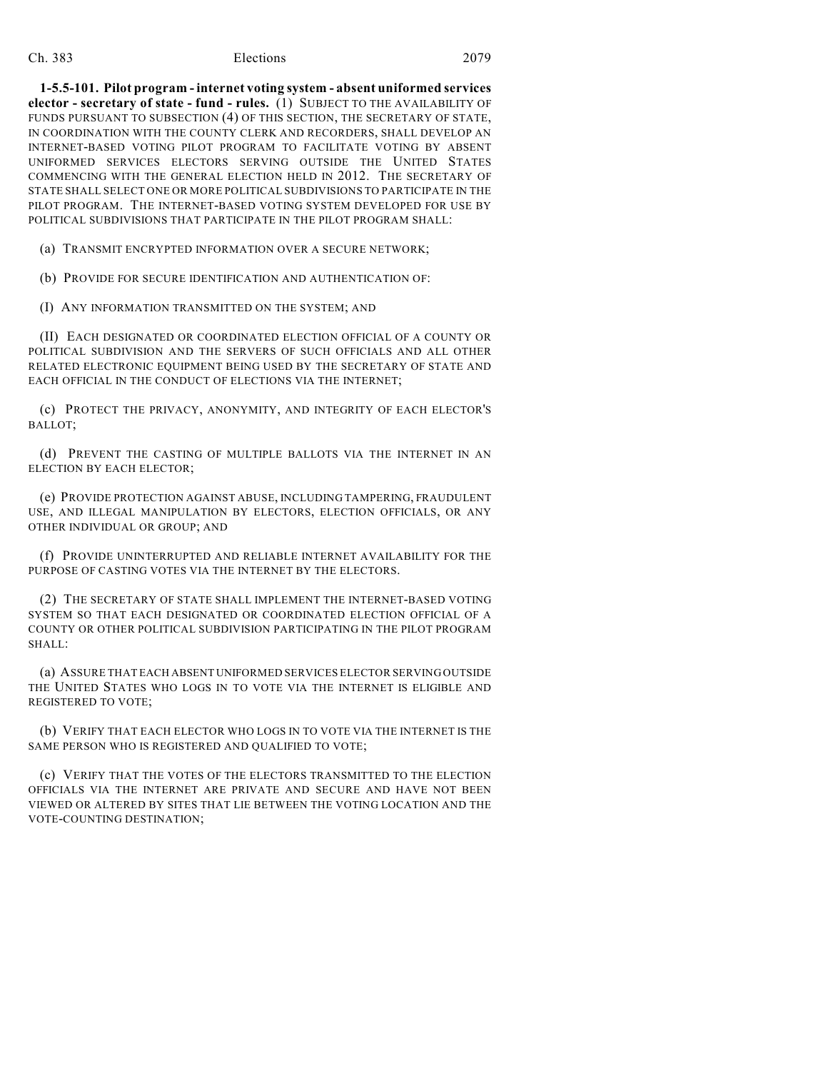### Ch. 383 Elections 2079

**1-5.5-101. Pilot program - internet voting system - absent uniformed services elector - secretary of state - fund - rules.** (1) SUBJECT TO THE AVAILABILITY OF FUNDS PURSUANT TO SUBSECTION (4) OF THIS SECTION, THE SECRETARY OF STATE, IN COORDINATION WITH THE COUNTY CLERK AND RECORDERS, SHALL DEVELOP AN INTERNET-BASED VOTING PILOT PROGRAM TO FACILITATE VOTING BY ABSENT UNIFORMED SERVICES ELECTORS SERVING OUTSIDE THE UNITED STATES COMMENCING WITH THE GENERAL ELECTION HELD IN 2012. THE SECRETARY OF STATE SHALL SELECT ONE OR MORE POLITICAL SUBDIVISIONS TO PARTICIPATE IN THE PILOT PROGRAM. THE INTERNET-BASED VOTING SYSTEM DEVELOPED FOR USE BY POLITICAL SUBDIVISIONS THAT PARTICIPATE IN THE PILOT PROGRAM SHALL:

(a) TRANSMIT ENCRYPTED INFORMATION OVER A SECURE NETWORK;

(b) PROVIDE FOR SECURE IDENTIFICATION AND AUTHENTICATION OF:

(I) ANY INFORMATION TRANSMITTED ON THE SYSTEM; AND

(II) EACH DESIGNATED OR COORDINATED ELECTION OFFICIAL OF A COUNTY OR POLITICAL SUBDIVISION AND THE SERVERS OF SUCH OFFICIALS AND ALL OTHER RELATED ELECTRONIC EQUIPMENT BEING USED BY THE SECRETARY OF STATE AND EACH OFFICIAL IN THE CONDUCT OF ELECTIONS VIA THE INTERNET;

(c) PROTECT THE PRIVACY, ANONYMITY, AND INTEGRITY OF EACH ELECTOR'S BALLOT;

(d) PREVENT THE CASTING OF MULTIPLE BALLOTS VIA THE INTERNET IN AN ELECTION BY EACH ELECTOR;

(e) PROVIDE PROTECTION AGAINST ABUSE, INCLUDING TAMPERING, FRAUDULENT USE, AND ILLEGAL MANIPULATION BY ELECTORS, ELECTION OFFICIALS, OR ANY OTHER INDIVIDUAL OR GROUP; AND

(f) PROVIDE UNINTERRUPTED AND RELIABLE INTERNET AVAILABILITY FOR THE PURPOSE OF CASTING VOTES VIA THE INTERNET BY THE ELECTORS.

(2) THE SECRETARY OF STATE SHALL IMPLEMENT THE INTERNET-BASED VOTING SYSTEM SO THAT EACH DESIGNATED OR COORDINATED ELECTION OFFICIAL OF A COUNTY OR OTHER POLITICAL SUBDIVISION PARTICIPATING IN THE PILOT PROGRAM SHALL:

(a) ASSURE THAT EACH ABSENT UNIFORMED SERVICES ELECTOR SERVING OUTSIDE THE UNITED STATES WHO LOGS IN TO VOTE VIA THE INTERNET IS ELIGIBLE AND REGISTERED TO VOTE;

(b) VERIFY THAT EACH ELECTOR WHO LOGS IN TO VOTE VIA THE INTERNET IS THE SAME PERSON WHO IS REGISTERED AND QUALIFIED TO VOTE;

(c) VERIFY THAT THE VOTES OF THE ELECTORS TRANSMITTED TO THE ELECTION OFFICIALS VIA THE INTERNET ARE PRIVATE AND SECURE AND HAVE NOT BEEN VIEWED OR ALTERED BY SITES THAT LIE BETWEEN THE VOTING LOCATION AND THE VOTE-COUNTING DESTINATION;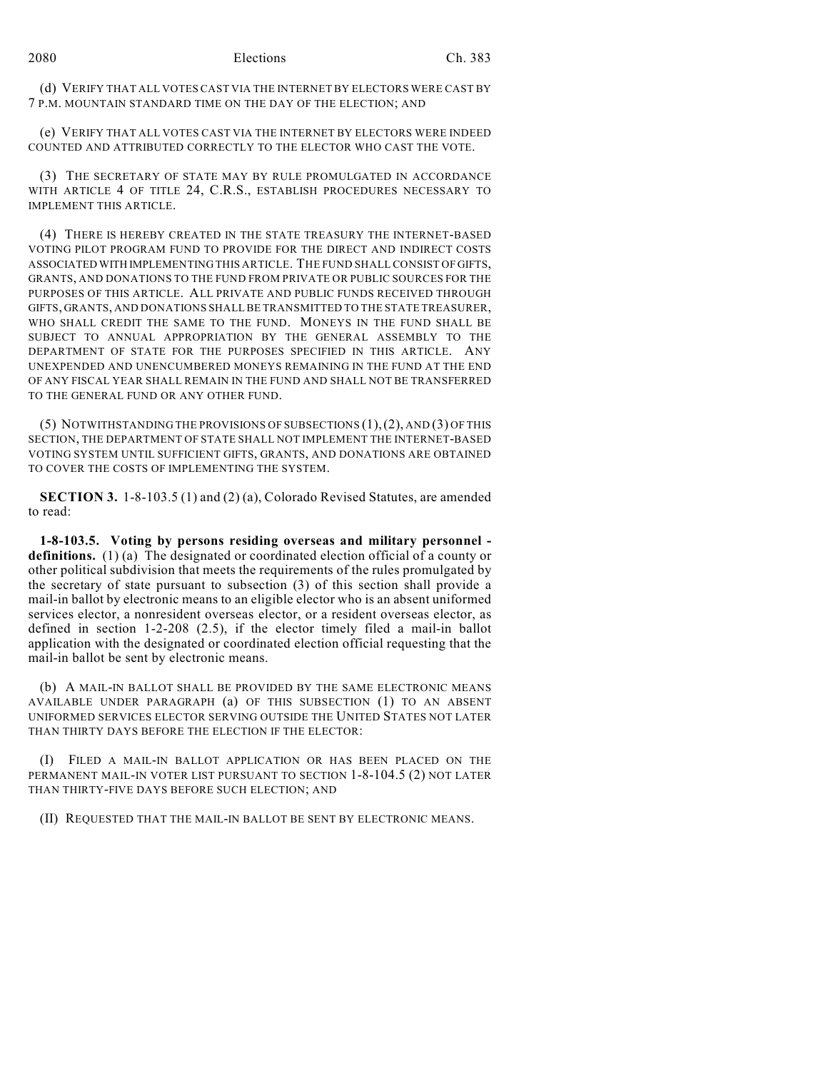(d) VERIFY THAT ALL VOTES CAST VIA THE INTERNET BY ELECTORS WERE CAST BY 7 P.M. MOUNTAIN STANDARD TIME ON THE DAY OF THE ELECTION; AND

(e) VERIFY THAT ALL VOTES CAST VIA THE INTERNET BY ELECTORS WERE INDEED COUNTED AND ATTRIBUTED CORRECTLY TO THE ELECTOR WHO CAST THE VOTE.

(3) THE SECRETARY OF STATE MAY BY RULE PROMULGATED IN ACCORDANCE WITH ARTICLE 4 OF TITLE 24, C.R.S., ESTABLISH PROCEDURES NECESSARY TO IMPLEMENT THIS ARTICLE.

(4) THERE IS HEREBY CREATED IN THE STATE TREASURY THE INTERNET-BASED VOTING PILOT PROGRAM FUND TO PROVIDE FOR THE DIRECT AND INDIRECT COSTS ASSOCIATED WITH IMPLEMENTING THIS ARTICLE. THE FUND SHALL CONSIST OF GIFTS, GRANTS, AND DONATIONS TO THE FUND FROM PRIVATE OR PUBLIC SOURCES FOR THE PURPOSES OF THIS ARTICLE. ALL PRIVATE AND PUBLIC FUNDS RECEIVED THROUGH GIFTS, GRANTS, AND DONATIONS SHALL BE TRANSMITTED TO THE STATE TREASURER, WHO SHALL CREDIT THE SAME TO THE FUND. MONEYS IN THE FUND SHALL BE SUBJECT TO ANNUAL APPROPRIATION BY THE GENERAL ASSEMBLY TO THE DEPARTMENT OF STATE FOR THE PURPOSES SPECIFIED IN THIS ARTICLE. ANY UNEXPENDED AND UNENCUMBERED MONEYS REMAINING IN THE FUND AT THE END OF ANY FISCAL YEAR SHALL REMAIN IN THE FUND AND SHALL NOT BE TRANSFERRED TO THE GENERAL FUND OR ANY OTHER FUND.

(5) NOTWITHSTANDING THE PROVISIONS OF SUBSECTIONS (1),(2), AND (3) OF THIS SECTION, THE DEPARTMENT OF STATE SHALL NOT IMPLEMENT THE INTERNET-BASED VOTING SYSTEM UNTIL SUFFICIENT GIFTS, GRANTS, AND DONATIONS ARE OBTAINED TO COVER THE COSTS OF IMPLEMENTING THE SYSTEM.

**SECTION 3.** 1-8-103.5 (1) and (2) (a), Colorado Revised Statutes, are amended to read:

**1-8-103.5. Voting by persons residing overseas and military personnel definitions.** (1) (a) The designated or coordinated election official of a county or other political subdivision that meets the requirements of the rules promulgated by the secretary of state pursuant to subsection (3) of this section shall provide a mail-in ballot by electronic means to an eligible elector who is an absent uniformed services elector, a nonresident overseas elector, or a resident overseas elector, as defined in section 1-2-208 (2.5), if the elector timely filed a mail-in ballot application with the designated or coordinated election official requesting that the mail-in ballot be sent by electronic means.

(b) A MAIL-IN BALLOT SHALL BE PROVIDED BY THE SAME ELECTRONIC MEANS AVAILABLE UNDER PARAGRAPH (a) OF THIS SUBSECTION (1) TO AN ABSENT UNIFORMED SERVICES ELECTOR SERVING OUTSIDE THE UNITED STATES NOT LATER THAN THIRTY DAYS BEFORE THE ELECTION IF THE ELECTOR:

(I) FILED A MAIL-IN BALLOT APPLICATION OR HAS BEEN PLACED ON THE PERMANENT MAIL-IN VOTER LIST PURSUANT TO SECTION 1-8-104.5 (2) NOT LATER THAN THIRTY-FIVE DAYS BEFORE SUCH ELECTION; AND

(II) REQUESTED THAT THE MAIL-IN BALLOT BE SENT BY ELECTRONIC MEANS.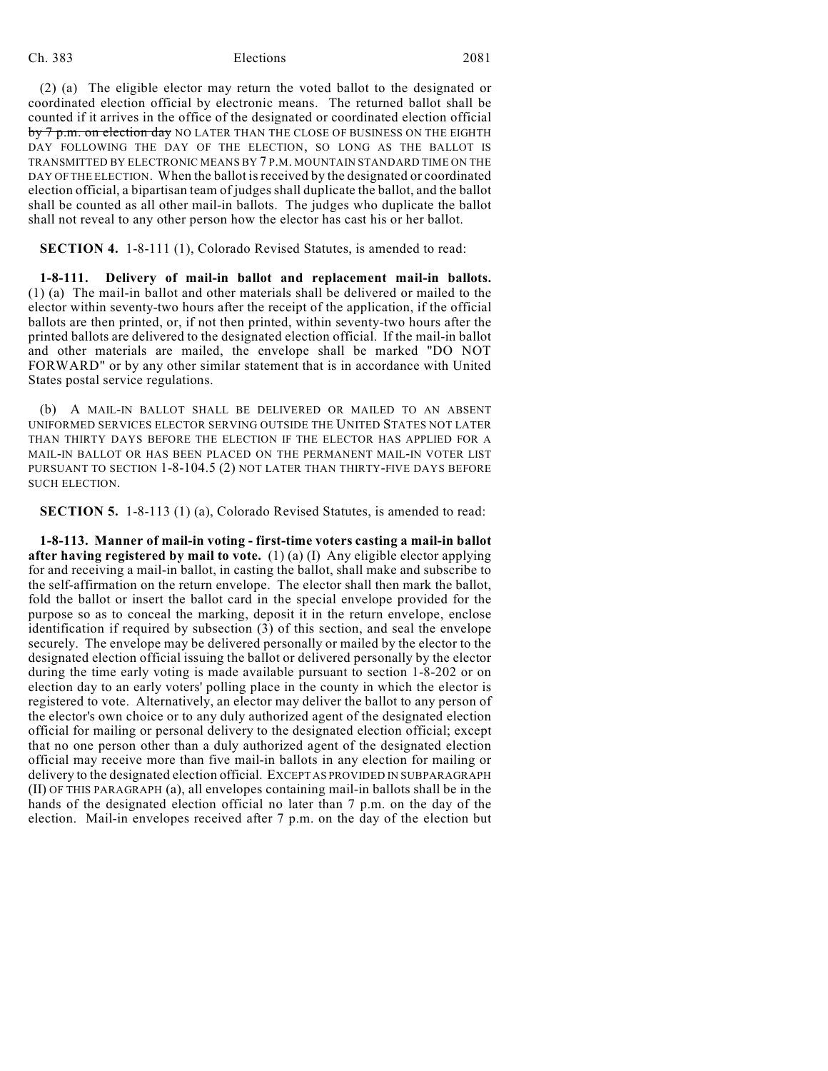### Ch. 383 Elections 2081

(2) (a) The eligible elector may return the voted ballot to the designated or coordinated election official by electronic means. The returned ballot shall be counted if it arrives in the office of the designated or coordinated election official by 7 p.m. on election day NO LATER THAN THE CLOSE OF BUSINESS ON THE EIGHTH DAY FOLLOWING THE DAY OF THE ELECTION, SO LONG AS THE BALLOT IS TRANSMITTED BY ELECTRONIC MEANS BY 7 P.M. MOUNTAIN STANDARD TIME ON THE DAY OF THE ELECTION. When the ballot is received by the designated or coordinated election official, a bipartisan team of judges shall duplicate the ballot, and the ballot shall be counted as all other mail-in ballots. The judges who duplicate the ballot shall not reveal to any other person how the elector has cast his or her ballot.

**SECTION 4.** 1-8-111 (1), Colorado Revised Statutes, is amended to read:

**1-8-111. Delivery of mail-in ballot and replacement mail-in ballots.** (1) (a) The mail-in ballot and other materials shall be delivered or mailed to the elector within seventy-two hours after the receipt of the application, if the official ballots are then printed, or, if not then printed, within seventy-two hours after the printed ballots are delivered to the designated election official. If the mail-in ballot and other materials are mailed, the envelope shall be marked "DO NOT FORWARD" or by any other similar statement that is in accordance with United States postal service regulations.

(b) A MAIL-IN BALLOT SHALL BE DELIVERED OR MAILED TO AN ABSENT UNIFORMED SERVICES ELECTOR SERVING OUTSIDE THE UNITED STATES NOT LATER THAN THIRTY DAYS BEFORE THE ELECTION IF THE ELECTOR HAS APPLIED FOR A MAIL-IN BALLOT OR HAS BEEN PLACED ON THE PERMANENT MAIL-IN VOTER LIST PURSUANT TO SECTION 1-8-104.5 (2) NOT LATER THAN THIRTY-FIVE DAYS BEFORE SUCH ELECTION.

**SECTION 5.** 1-8-113 (1) (a), Colorado Revised Statutes, is amended to read:

**1-8-113. Manner of mail-in voting - first-time voters casting a mail-in ballot after having registered by mail to vote.** (1) (a) (I) Any eligible elector applying for and receiving a mail-in ballot, in casting the ballot, shall make and subscribe to the self-affirmation on the return envelope. The elector shall then mark the ballot, fold the ballot or insert the ballot card in the special envelope provided for the purpose so as to conceal the marking, deposit it in the return envelope, enclose identification if required by subsection (3) of this section, and seal the envelope securely. The envelope may be delivered personally or mailed by the elector to the designated election official issuing the ballot or delivered personally by the elector during the time early voting is made available pursuant to section 1-8-202 or on election day to an early voters' polling place in the county in which the elector is registered to vote. Alternatively, an elector may deliver the ballot to any person of the elector's own choice or to any duly authorized agent of the designated election official for mailing or personal delivery to the designated election official; except that no one person other than a duly authorized agent of the designated election official may receive more than five mail-in ballots in any election for mailing or delivery to the designated election official. EXCEPT AS PROVIDED IN SUBPARAGRAPH (II) OF THIS PARAGRAPH (a), all envelopes containing mail-in ballots shall be in the hands of the designated election official no later than 7 p.m. on the day of the election. Mail-in envelopes received after 7 p.m. on the day of the election but